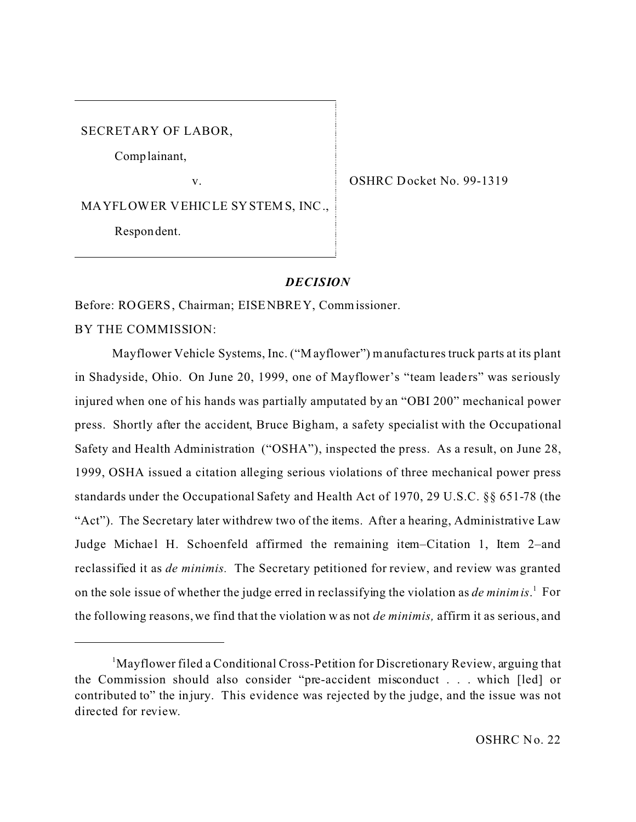SECRETARY OF LABOR,

Comp lainant,

v.

OSHRC Docket No. 99-1319

MA YFL OW ER V EHIC LE SY STEM S, INC .,

Respon dent.

## *DECISION*

Before: ROGERS, Chairman; EISENBREY, Commissioner.

BY THE COMMISSION:

Mayflower Vehicle Systems, Inc. ("M ayflower") manufactures truck parts at its plant in Shadyside, Ohio. On June 20, 1999, one of Mayflower's "team leaders" was seriously injured when one of his hands was partially amputated by an "OBI 200" mechanical power press. Shortly after the accident, Bruce Bigham, a safety specialist with the Occupational Safety and Health Administration ("OSHA"), inspected the press. As a result, on June 28, 1999, OSHA issued a citation alleging serious violations of three mechanical power press standards under the Occupational Safety and Health Act of 1970, 29 U.S.C. §§ 651-78 (the "Act"). The Secretary later withdrew two of the items. After a hearing, Administrative Law Judge Michael H. Schoenfeld affirmed the remaining item–Citation 1, Item 2–and reclassified it as *de minimis.* The Secretary petitioned for review, and review was granted on the sole issue of whether the judge erred in reclassifying the violation as *de minimis*. 1 For the following reasons, we find that the violation w as not *de minimis,* affirm it as serious, and

<sup>&</sup>lt;sup>1</sup>Mayflower filed a Conditional Cross-Petition for Discretionary Review, arguing that the Commission should also consider "pre-accident misconduct . . . which [led] or contributed to" the injury. This evidence was rejected by the judge, and the issue was not directed for review.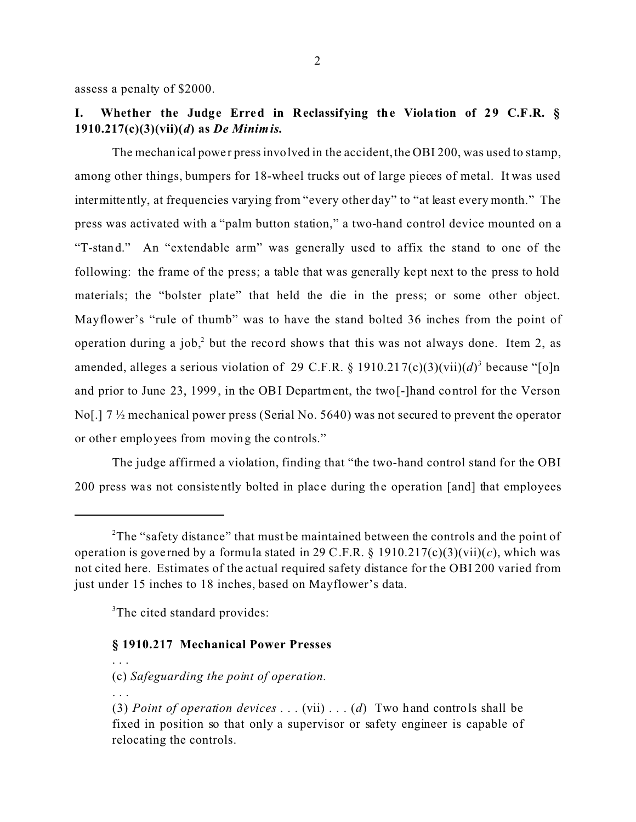assess a penalty of \$2000.

# **I. Whether the Judge Erred in Reclassifying the Violation of 29 C.F.R. § 1910.217(c)(3)(vii)(***d***) as** *De Minimis.*

The mechanical powe r press involved in the accident, the OBI 200, was used to stamp, among other things, bumpers for 18-wheel trucks out of large pieces of metal. It was used intermittently, at frequencies varying from "every other day" to "at least every month." The press was activated with a "palm button station," a two-hand control device mounted on a "T-stand." An "extendable arm" was generally used to affix the stand to one of the following: the frame of the press; a table that was generally kept next to the press to hold materials; the "bolster plate" that held the die in the press; or some other object. Mayflower's "rule of thumb" was to have the stand bolted 36 inches from the point of operation during a job,<sup>2</sup> but the record shows that this was not always done. Item 2, as amended, alleges a serious violation of 29 C.F.R.  $\S$  1910.217(c)(3)(vii)(d)<sup>3</sup> because "[o]n and prior to June 23, 1999, in the OBI Department, the two[-]hand control for the Verson No[.] 7 ½ mechanical power press (Serial No. 5640) was not secured to prevent the operator or other employees from moving the controls."

The judge affirmed a violation, finding that "the two-hand control stand for the OBI 200 press was not consistently bolted in place during the operation [and] that employees

<sup>3</sup>The cited standard provides:

#### **§ 1910.217 Mechanical Power Presses**

(c) *Safeguarding the point of operation.* 

. . .

. . .

<sup>&</sup>lt;sup>2</sup>The "safety distance" that must be maintained between the controls and the point of operation is governed by a formula stated in 29 C.F.R.  $\S$  1910.217(c)(3)(vii)(*c*), which was not cited here. Estimates of the actual required safety distance for the OBI 200 varied from just under 15 inches to 18 inches, based on Mayflower's data.

<sup>(3)</sup> *Point of operation devices* . . . (vii) . . . (*d*) Two hand controls shall be fixed in position so that only a supervisor or safety engineer is capable of relocating the controls.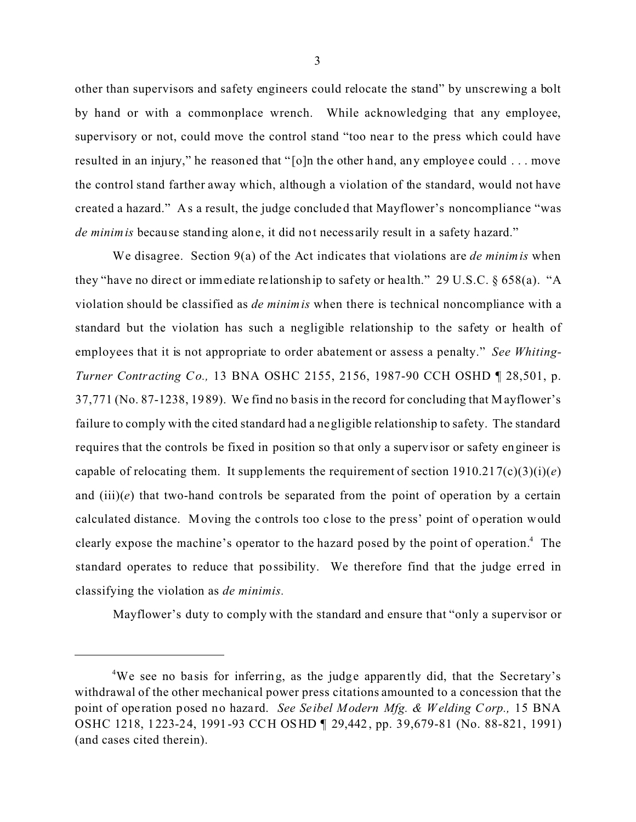other than supervisors and safety engineers could relocate the stand" by unscrewing a bolt by hand or with a commonplace wrench. While acknowledging that any employee, supervisory or not, could move the control stand "too near to the press which could have resulted in an injury," he reasoned that "[o]n the other hand, any employee could . . . move the control stand farther away which, although a violation of the standard, would not have created a hazard." As a result, the judge concluded that Mayflower's noncompliance "was *de minimis* because standing alone, it did not necess arily result in a safety hazard."

We disagree. Section 9(a) of the Act indicates that violations are *de minimis* when they "have no direct or immediate re lationship to safety or health." 29 U.S.C. § 658(a). "A violation should be classified as *de minimis* when there is technical noncompliance with a standard but the violation has such a negligible relationship to the safety or health of employees that it is not appropriate to order abatement or assess a penalty." *See Whiting-Turner Contracting Co.,* 13 BNA OSHC 2155, 2156, 1987-90 CCH OSHD ¶ 28,501, p. 37,771 (No. 87-1238, 1989). We find no basis in the record for concluding that Mayflower's failure to comply with the cited standard had a negligible relationship to safety. The standard requires that the controls be fixed in position so that only a supervisor or safety engineer is capable of relocating them. It supplements the requirement of section  $1910.217(c)(3)(i)(e)$ and  $(iii)(e)$  that two-hand controls be separated from the point of operation by a certain calculated distance. Moving the controls too close to the pre ss' point of operation would clearly expose the machine's operator to the hazard posed by the point of operation.<sup>4</sup> The standard operates to reduce that possibility. We therefore find that the judge erred in classifying the violation as *de minimis.* 

Mayflower's duty to comply with the standard and ensure that "only a supervisor or

<sup>&</sup>lt;sup>4</sup>We see no basis for inferring, as the judge apparently did, that the Secretary's withdrawal of the other mechanical power press citations amounted to a concession that the point of ope ration posed no hazard. *See Seibel Modern Mfg. & Welding Corp.,* 15 BNA OSHC 1218, 1223-24, 1991-93 CCH OSHD ¶ 29,442, pp. 39,679-81 (No. 88-821, 1991) (and cases cited therein).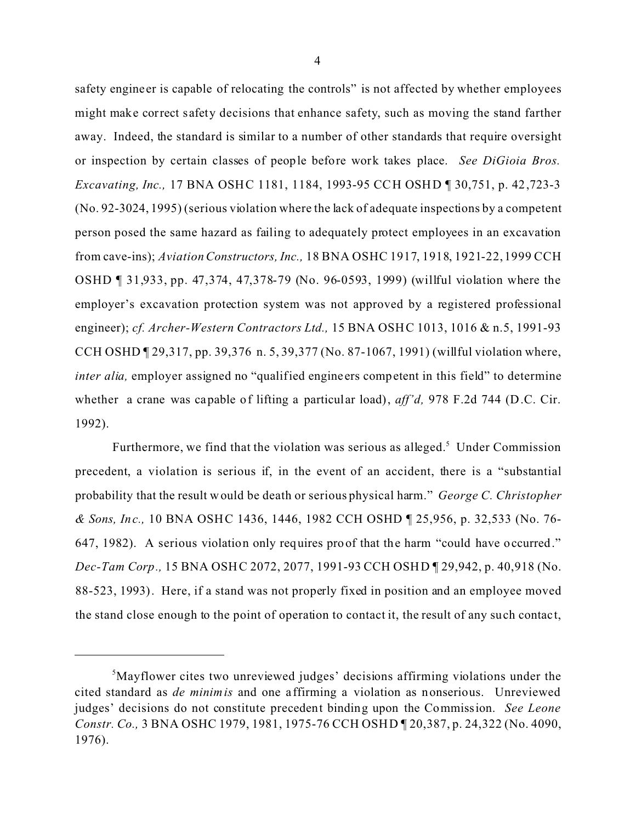safety engine er is capable of relocating the controls" is not affected by whether employees might make correct s afety decisions that enhance safety, such as moving the stand farther away. Indeed, the standard is similar to a number of other standards that require oversight or inspection by certain classes of people before work takes place. *See DiGioia Bros. Excavating, Inc.,* 17 BNA OSHC 1181, 1184, 1993-95 CCH OSHD ¶ 30,751, p. 42,723-3 (No. 92-3024, 1995) (serious violation where the lack of adequate inspections by a competent person posed the same hazard as failing to adequately protect employees in an excavation from cave-ins); *Aviation Constructors, Inc.,* 18 BNA OSHC 1917, 1918, 1921-22, 1999 CCH OSHD ¶ 31,933, pp. 47,374, 47,378-79 (No. 96-0593, 1999) (willful violation where the employer's excavation protection system was not approved by a registered professional engineer); *cf. Archer-Western Contractors Ltd.,* 15 BNA OSHC 1013, 1016 & n.5, 1991-93 CCH OSHD ¶ 29,317, pp. 39,376 n. 5, 39,377 (No. 87-1067, 1991) (willful violation where, *inter alia,* employer assigned no "qualified engine ers competent in this field" to determine whether a crane was capable of lifting a particular load), *aff'd,* 978 F.2d 744 (D.C. Cir. 1992).

Furthermore, we find that the violation was serious as alleged.<sup>5</sup> Under Commission precedent, a violation is serious if, in the event of an accident, there is a "substantial probability that the result would be death or serious physical harm." *George C. Christopher & Sons, Inc.,* 10 BNA OSHC 1436, 1446, 1982 CCH OSHD ¶ 25,956, p. 32,533 (No. 76- 647, 1982). A serious violation only requires proof that the harm "could have occurred." *Dec-Tam Corp.,* 15 BNA OSHC 2072, 2077, 1991-93 CCH OSHD ¶ 29,942, p. 40,918 (No. 88-523, 1993). Here, if a stand was not properly fixed in position and an employee moved the stand close enough to the point of operation to contact it, the result of any such contac t,

<sup>&</sup>lt;sup>5</sup>Mayflower cites two unreviewed judges' decisions affirming violations under the cited standard as *de minimis* and one a ffirming a violation as nonserious. Unreviewed judges' decisions do not constitute precedent binding upon the Commission. *See Leone Constr. Co.,* 3 BNA OSHC 1979, 1981, 1975-76 CCH OSHD ¶ 20,387, p. 24,322 (No. 4090, 1976).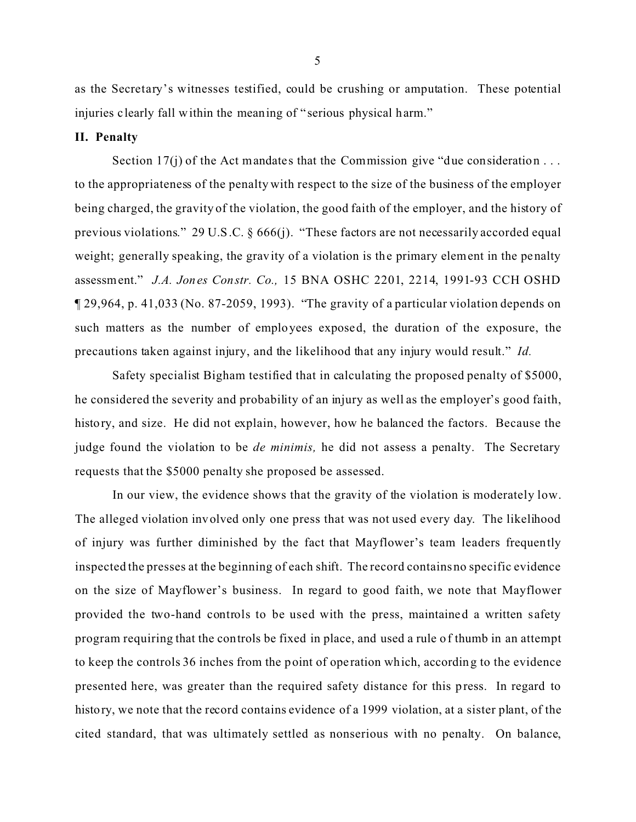as the Secretary's witnesses testified, could be crushing or amputation. These potential injuries c learly fall within the meaning of " serious physical harm."

### **II. Penalty**

Section 17(j) of the Act mandates that the Commission give "due consideration  $\dots$ to the appropriateness of the penalty with respect to the size of the business of the employer being charged, the gravity of the violation, the good faith of the employer, and the history of previous violations." 29 U.S.C. § 666(j). "These factors are not necessarily accorded equal weight; generally speaking, the gravity of a violation is the primary element in the penalty assessment." *J.A. Jones Constr. Co.,* 15 BNA OSHC 2201, 2214, 1991-93 CCH OSHD ¶ 29,964, p. 41,033 (No. 87-2059, 1993). "The gravity of a particular violation depends on such matters as the number of employees exposed, the duration of the exposure, the precautions taken against injury, and the likelihood that any injury would result." *Id.* 

Safety specialist Bigham testified that in calculating the proposed penalty of \$5000, he considered the severity and probability of an injury as well as the employer's good faith, history, and size. He did not explain, however, how he balanced the factors. Because the judge found the violation to be *de minimis,* he did not assess a penalty. The Secretary requests that the \$5000 penalty she proposed be assessed.

In our view, the evidence shows that the gravity of the violation is moderately low. The alleged violation involved only one press that was not used every day. The likelihood of injury was further diminished by the fact that Mayflower's team leaders frequently inspected the presses at the beginning of each shift. The record contains no specific evidence on the size of Mayflower's business. In regard to good faith, we note that Mayflower provided the two-hand controls to be used with the press, maintained a written safety program requiring that the controls be fixed in place, and used a rule of thumb in an attempt to keep the controls 36 inches from the point of ope ration which, according to the evidence presented here, was greater than the required safety distance for this press. In regard to history, we note that the record contains evidence of a 1999 violation, at a sister plant, of the cited standard, that was ultimately settled as nonserious with no penalty. On balance,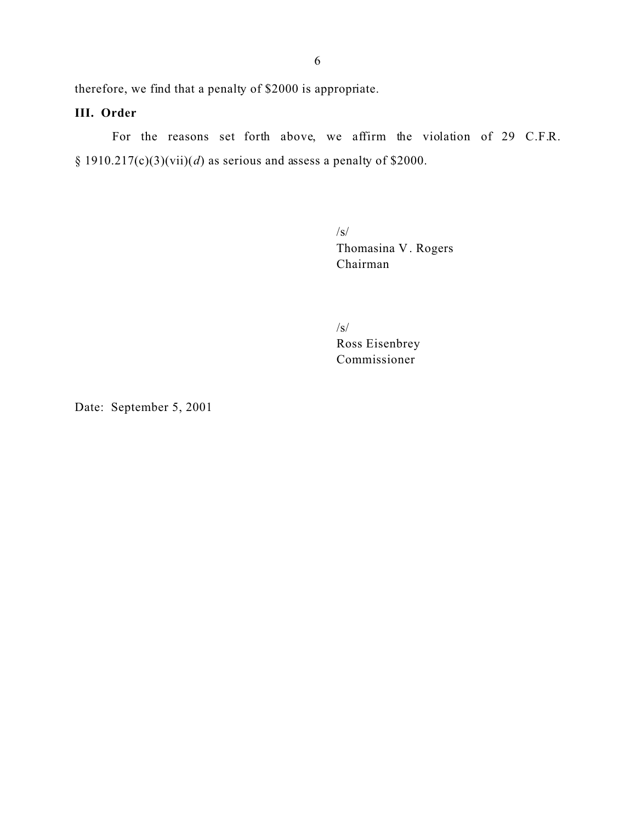therefore, we find that a penalty of \$2000 is appropriate.

# **III. Order**

For the reasons set forth above, we affirm the violation of 29 C.F.R. § 1910.217(c)(3)(vii)(d) as serious and assess a penalty of \$2000.

> /s/ Thomasina V . Rogers Chairman

/s/ Ross Eisenbrey Commissioner

Date: September 5, 2001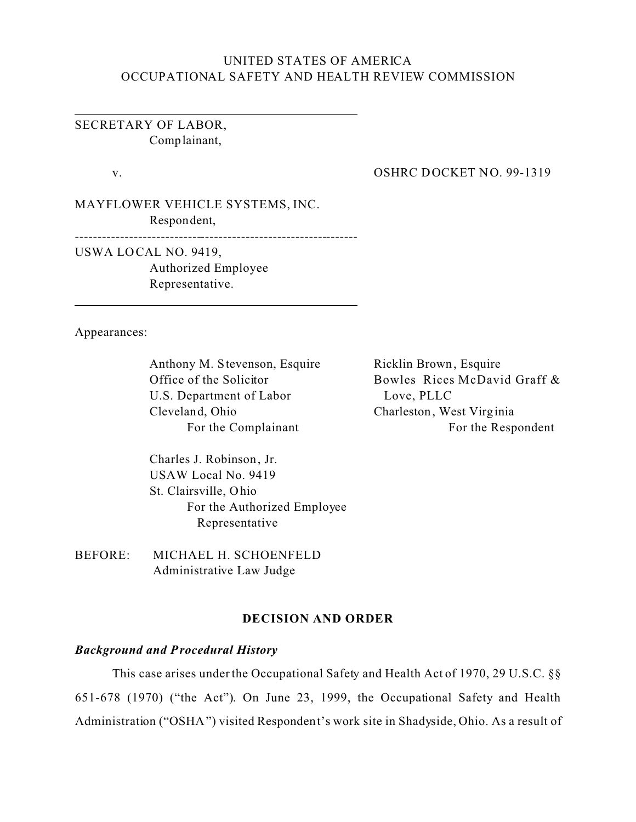# UNITED STATES OF AMERICA OCCUPATIONAL SAFETY AND HEALTH REVIEW COMMISSION

SECRETARY OF LABOR, Complainant,

v.

#### OSHRC DOCKET NO. 99-1319

MAYFLOWER VEHICLE SYSTEMS, INC. Respondent,

---------------------------------------------------------------

USWA LO CAL NO. 9419, Authorized Employee Representative.

Appearances:

Anthony M. Stevenson, Esquire Office of the Solicitor U.S. Department of Labor Cleveland, Ohio For the Complainant

Ricklin Brown, Esquire Bowles Rices McDavid Graff & Love, PLLC Charleston, West Virginia For the Respondent

Charles J. Robinson, Jr. USAW Local No. 9419 St. Clairsville, Ohio For the Authorized Employee Representative

BEFORE: MICHAEL H. SCHOENFELD Administrative Law Judge

## **DECISION AND ORDER**

### *Background and Procedural History*

This case arises under the Occupational Safety and Health Act of 1970, 29 U.S.C. §§ 651-678 (1970) ("the Act"). On June 23, 1999, the Occupational Safety and Health Administration ("OSHA") visited Respondent's work site in Shadyside, Ohio. As a result of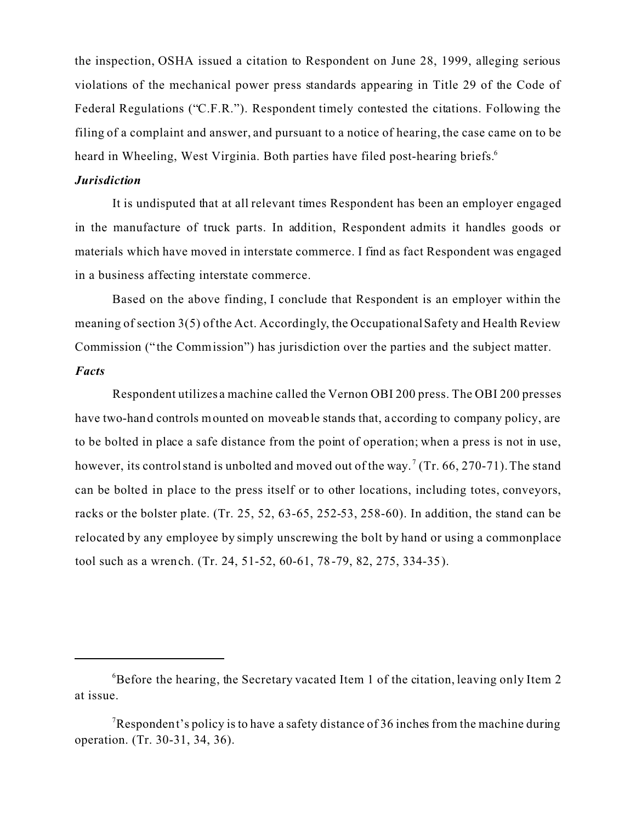the inspection, OSHA issued a citation to Respondent on June 28, 1999, alleging serious violations of the mechanical power press standards appearing in Title 29 of the Code of Federal Regulations ("C.F.R."). Respondent timely contested the citations. Following the filing of a complaint and answer, and pursuant to a notice of hearing, the case came on to be heard in Wheeling, West Virginia. Both parties have filed post-hearing briefs.<sup>6</sup>

#### *Jurisdiction*

It is undisputed that at all relevant times Respondent has been an employer engaged in the manufacture of truck parts. In addition, Respondent admits it handles goods or materials which have moved in interstate commerce. I find as fact Respondent was engaged in a business affecting interstate commerce.

Based on the above finding, I conclude that Respondent is an employer within the meaning of section 3(5) of the Act. Accordingly, the Occupational Safety and Health Review Commission (" the Commission") has jurisdiction over the parties and the subject matter. *Facts* 

Respondent utilizes a machine called the Vernon OBI 200 press. The OBI 200 presses have two-hand controls mounted on moveable stands that, according to company policy, are to be bolted in place a safe distance from the point of operation; when a press is not in use, however, its control stand is unbolted and moved out of the way.<sup>7</sup> (Tr. 66, 270-71). The stand can be bolted in place to the press itself or to other locations, including totes, conveyors, racks or the bolster plate. (Tr. 25, 52, 63-65, 252-53, 258-60). In addition, the stand can be relocated by any employee by simply unscrewing the bolt by hand or using a commonplace tool such as a wrench. (Tr. 24, 51-52, 60-61, 78-79, 82, 275, 334-35).

 ${}^{6}$ Before the hearing, the Secretary vacated Item 1 of the citation, leaving only Item 2 at issue.

Respondent's policy is to have a safety distance of 36 inches from the machine during operation. (Tr. 30-31, 34, 36).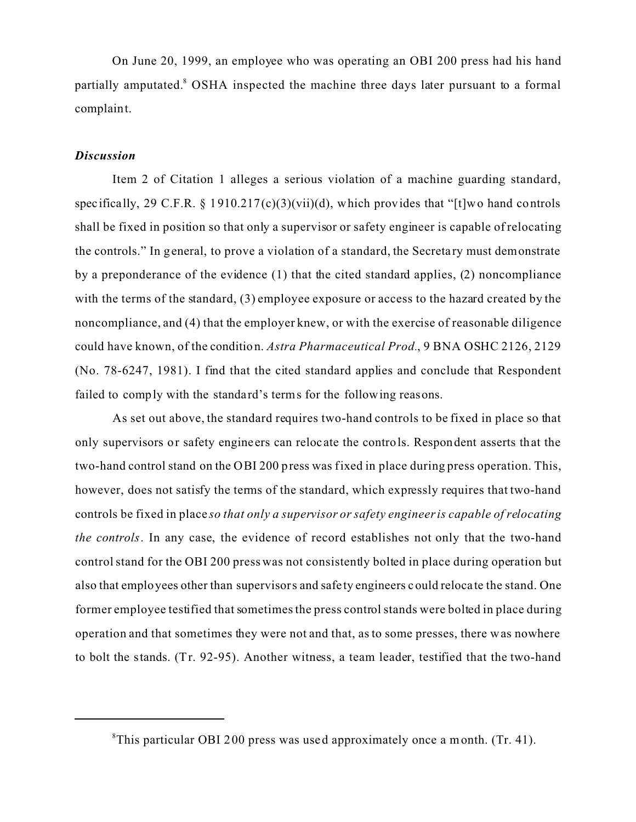On June 20, 1999, an employee who was operating an OBI 200 press had his hand partially amputated.<sup>8</sup> OSHA inspected the machine three days later pursuant to a formal complaint.

## *Discussion*

Item 2 of Citation 1 alleges a serious violation of a machine guarding standard, spec if ically, 29 C.F.R. § 1910.217(c)(3)(vii)(d), which provides that "[t]wo hand controls shall be fixed in position so that only a supervisor or safety engineer is capable of relocating the controls." In general, to prove a violation of a standard, the Secretary must demonstrate by a preponderance of the evidence (1) that the cited standard applies, (2) noncompliance with the terms of the standard, (3) employee exposure or access to the hazard created by the noncompliance, and (4) that the employer knew, or with the exercise of reasonable diligence could have known, of the condition. *Astra Pharmaceutical Prod.*, 9 BNA OSHC 2126, 2129 (No. 78-6247, 1981). I find that the cited standard applies and conclude that Respondent failed to comply with the standard's terms for the following reasons.

As set out above, the standard requires two-hand controls to be fixed in place so that only supervisors or safety engine ers can reloc ate the controls. Respondent asserts that the two-hand control stand on the OBI 200 press was fixed in place during press operation. This, however, does not satisfy the terms of the standard, which expressly requires that two-hand controls be fixed in place *so that only a supervisor or safety engineer is capable of relocating the controls*. In any case, the evidence of record establishes not only that the two-hand control stand for the OBI 200 press was not consistently bolted in place during operation but also that employees other than supervisors and safe ty engineers could reloca te the stand. One former employee testified that sometimes the press control stands were bolted in place during operation and that sometimes they were not and that, as to some presses, there was nowhere to bolt the stands. (Tr. 92-95). Another witness, a team leader, testified that the two-hand

<sup>&</sup>lt;sup>8</sup>This particular OBI 200 press was used approximately once a month. (Tr. 41).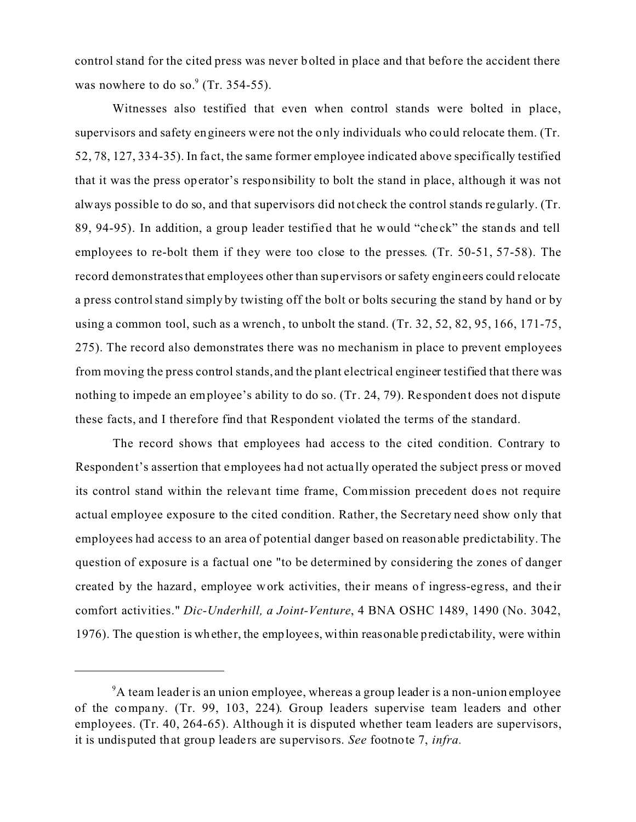control stand for the cited press was never bolted in place and that before the accident there was nowhere to do so. $\degree$  (Tr. 354-55).

Witnesses also testified that even when control stands were bolted in place, supervisors and safety engineers were not the only individuals who could relocate them. (Tr. 52, 78, 127, 334-35). In fact, the same former employee indicated above specifically testified that it was the press operator's responsibility to bolt the stand in place, although it was not always possible to do so, and that supervisors did not check the control stands regularly. (Tr. 89, 94-95). In addition, a group leader testified that he would "che ck" the stands and tell employees to re-bolt them if they were too close to the presses. (Tr. 50-51, 57-58). The record demonstrates that employees other than supervisors or safety engineers could relocate a press control stand simply by twisting off the bolt or bolts securing the stand by hand or by using a common tool, such as a wrench, to unbolt the stand. (Tr. 32, 52, 82, 95, 166, 171-75, 275). The record also demonstrates there was no mechanism in place to prevent employees from moving the press control stands, and the plant electrical engineer testified that there was nothing to impede an employee's ability to do so. (Tr. 24, 79). Re spondent does not dispute these facts, and I therefore find that Respondent violated the terms of the standard.

The record shows that employees had access to the cited condition. Contrary to Respondent's assertion that employees had not actua lly operated the subject press or moved its control stand within the relevant time frame, Commission precedent does not require actual employee exposure to the cited condition. Rather, the Secretary need show only that employees had access to an area of potential danger based on reasonable predictability. The question of exposure is a factual one "to be determined by considering the zones of danger created by the hazard, employee work activities, the ir means of ingress-egress, and their comfort activities." *Dic-Underhill, a Joint-Venture*, 4 BNA OSHC 1489, 1490 (No. 3042, 1976). The question is whether, the employees, within reasonable predictability, were within

<sup>&</sup>lt;sup>9</sup>A team leader is an union employee, whereas a group leader is a non-union employee of the company. (Tr. 99, 103, 224). Group leaders supervise team leaders and other employees. (Tr. 40, 264-65). Although it is disputed whether team leaders are supervisors, it is undisputed that group leaders are supervisors. *See* footnote 7, *infra.*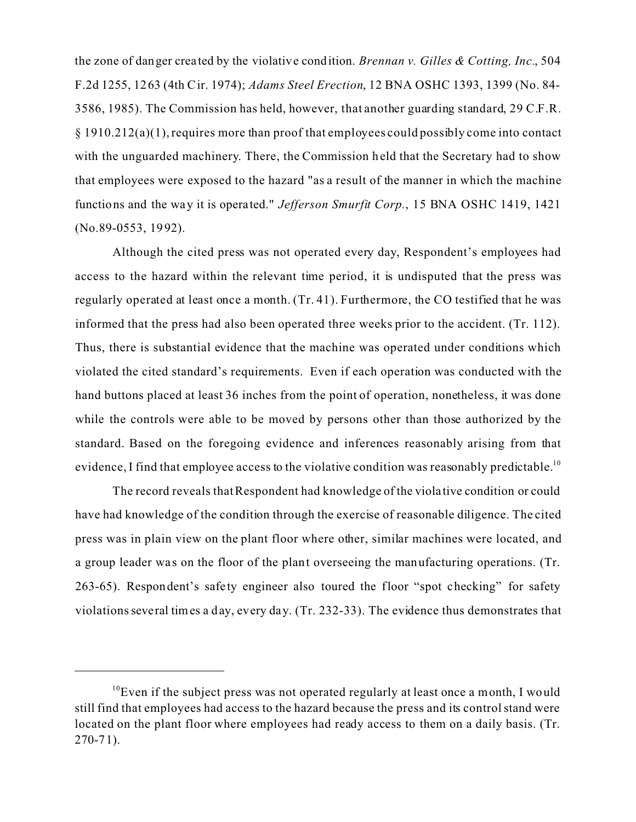the zone of danger crea ted by the violative condition. *Brennan v. Gilles & Cotting, Inc.*, 504 F.2d 1255, 1263 (4th Cir. 1974); *Adams Steel Erection*, 12 BNA OSHC 1393, 1399 (No. 84- 3586, 1985). The Commission has held, however, that another guarding standard, 29 C.F.R. § 1910.212(a)(1), requires more than proof that employees could possibly come into contact with the unguarded machinery. There, the Commission held that the Secretary had to show that employees were exposed to the hazard "as a result of the manner in which the machine functions and the way it is operated." *Jefferson Smurfit Corp.*, 15 BNA OSHC 1419, 1421 (No.89-0553, 1992).

Although the cited press was not operated every day, Respondent's employees had access to the hazard within the relevant time period, it is undisputed that the press was regularly operated at least once a month. (Tr. 41). Furthermore, the CO testified that he was informed that the press had also been operated three weeks prior to the accident. (Tr. 112). Thus, there is substantial evidence that the machine was operated under conditions which violated the cited standard's requirements. Even if each operation was conducted with the hand buttons placed at least 36 inches from the point of operation, nonetheless, it was done while the controls were able to be moved by persons other than those authorized by the standard. Based on the foregoing evidence and inferences reasonably arising from that evidence, I find that employee access to the violative condition was reasonably predictable.<sup>10</sup>

The record reveals that Respondent had knowledge of the violative condition or could have had knowledge of the condition through the exercise of reasonable diligence. The cited press was in plain view on the plant floor where other, similar machines were located, and a group leader was on the floor of the plant overseeing the manufacturing operations. (Tr. 263-65). Respondent's safe ty engineer also toured the floor "spot checking" for safety violations seve ral times a day, every day. (Tr. 232-33). The evidence thus demonstrates that

 $10$ <sup>10</sup>Even if the subject press was not operated regularly at least once a month, I would still find that employees had access to the hazard because the press and its control stand were located on the plant floor where employees had ready access to them on a daily basis. (Tr.  $270 - 71$ ).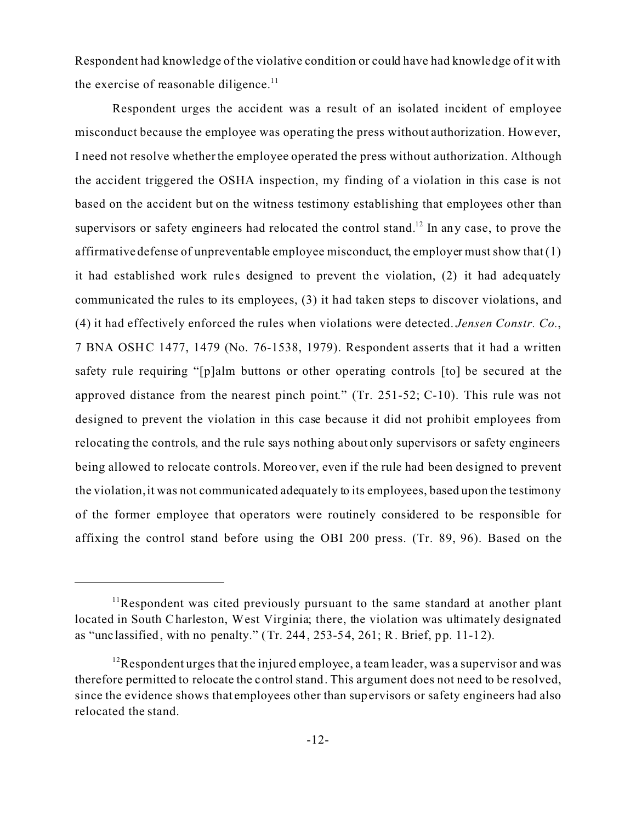Respondent had knowledge of the violative condition or could have had knowledge of it with the exercise of reasonable diligence. $11$ 

Respondent urges the accident was a result of an isolated incident of employee misconduct because the employee was operating the press without authorization. However, I need not resolve whether the employee operated the press without authorization. Although the accident triggered the OSHA inspection, my finding of a violation in this case is not based on the accident but on the witness testimony establishing that employees other than supervisors or safety engineers had relocated the control stand.<sup>12</sup> In any case, to prove the affirmative defense of unpreventable employee misconduct, the employer must show that  $(1)$ it had established work rules designed to prevent the violation,  $(2)$  it had adequately communicated the rules to its employees, (3) it had taken steps to discover violations, and (4) it had effectively enforced the rules when violations were detected. *Jensen Constr. Co.*, 7 BNA OSHC 1477, 1479 (No. 76-1538, 1979). Respondent asserts that it had a written safety rule requiring "[p]alm buttons or other operating controls [to] be secured at the approved distance from the nearest pinch point." (Tr. 251-52; C-10). This rule was not designed to prevent the violation in this case because it did not prohibit employees from relocating the controls, and the rule says nothing about only supervisors or safety engineers being allowed to relocate controls. Moreover, even if the rule had been designed to prevent the violation, it was not communicated adequately to its employees, based upon the testimony of the former employee that operators were routinely considered to be responsible for affixing the control stand before using the OBI 200 press. (Tr. 89, 96). Based on the

 $11$ Respondent was cited previously pursuant to the same standard at another plant located in South Charleston, West Virginia; there, the violation was ultimately designated as "unc lassified, with no penalty." (Tr. 244, 253-54, 261; R. Brief, pp. 11-12).

<sup>&</sup>lt;sup>12</sup>Respondent urges that the injured employee, a team leader, was a supervisor and was therefore permitted to relocate the control stand. This argument does not need to be resolved, since the evidence shows that employees other than supervisors or safety engineers had also relocated the stand.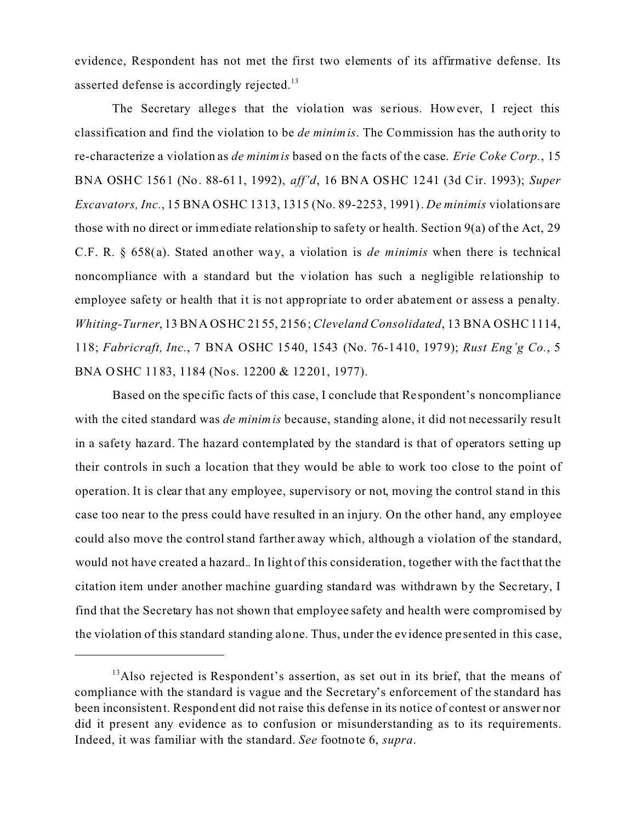evidence, Respondent has not met the first two elements of its affirmative defense. Its asserted defense is accordingly rejected.<sup>13</sup>

The Secretary alleges that the violation was serious. However, I reject this classification and find the violation to be *de minimis*. The Commission has the authority to re-characterize a violation as *de minimis* based on the fa cts of the case. *Erie Coke Corp.*, 15 BNA OSHC 1561 (No. 88-611, 1992), *aff'd*, 16 BNA OSHC 1241 (3d Cir. 1993); *Super Excavators, Inc.*, 15 BNA OSHC 1313, 1315 (No. 89-2253, 1991). *De minimis* violations are those with no direct or immediate relationship to safety or health. Section 9(a) of the Act, 29 C.F. R. § 658(a). Stated another way, a violation is *de minimis* when there is technical noncompliance with a standard but the violation has such a negligible re lationship to employee safety or health that it is not appropriate to order abatement or assess a penalty. *Whiting-Turner*, 13 BNA OSHC 2155, 2156; *Cleveland Consolidated*, 13 BNA OSHC 1114, 118; *Fabricraft, Inc.*, 7 BNA OSHC 1540, 1543 (No. 76-1410, 1979); *Rust Eng'g Co.*, 5 BNA OSHC 1183, 1184 (Nos. 12200 & 12201, 1977).

Based on the specific facts of this case, I conclude that Re spondent's noncompliance with the cited standard was *de minimis* because, standing alone, it did not necessarily result in a safety hazard. The hazard contemplated by the standard is that of operators setting up their controls in such a location that they would be able to work too close to the point of operation. It is clear that any employee, supervisory or not, moving the control stand in this case too near to the press could have resulted in an injury. On the other hand, any employee could also move the control stand farther away which, although a violation of the standard, would not have created a hazard.. In light of this consideration, together with the fact that the citation item under another machine guarding standard was withdrawn by the Secretary, I find that the Secretary has not shown that employee safety and health were compromised by the violation of this standard standing alone. Thus, under the evidence pre sented in this case,

 $<sup>13</sup>$ Also rejected is Respondent's assertion, as set out in its brief, that the means of</sup> compliance with the standard is vague and the Secretary's enforcement of the standard has been inconsistent. Respondent did not raise this defense in its notice of contest or answer nor did it present any evidence as to confusion or misunderstanding as to its requirements. Indeed, it was familiar with the standard. *See* footnote 6, *supra*.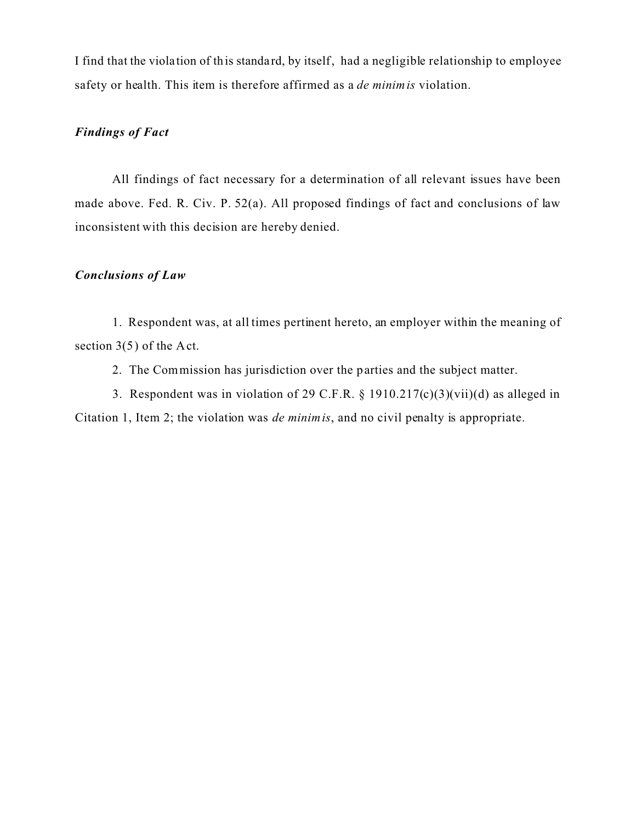I find that the viola tion of this standa rd, by itself, had a negligible relationship to employee safety or health. This item is therefore affirmed as a *de minimis* violation.

# *Findings of Fact*

All findings of fact necessary for a determination of all relevant issues have been made above. Fed. R. Civ. P. 52(a). All proposed findings of fact and conclusions of law inconsistent with this decision are hereby denied.

## *Conclusions of Law*

1. Respondent was, at all times pertinent hereto, an employer within the meaning of section 3(5) of the Act.

2. The Commission has jurisdiction over the parties and the subject matter.

3. Respondent was in violation of 29 C.F.R. § 1910.217(c)(3)(vii)(d) as alleged in Citation 1, Item 2; the violation was *de minimis*, and no civil penalty is appropriate.